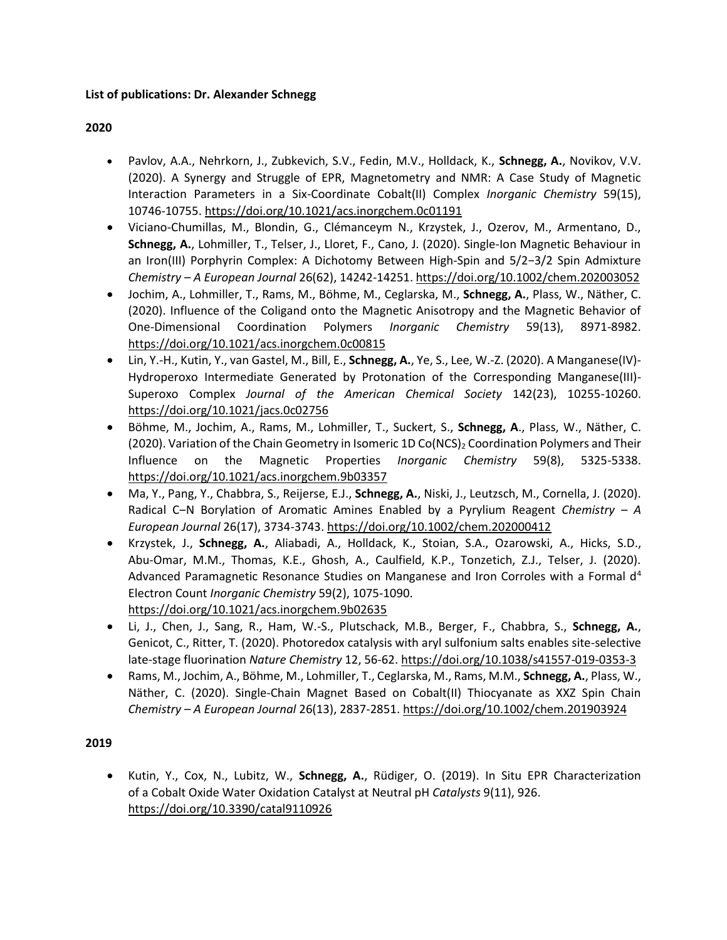### **List of publications: Dr. Alexander Schnegg**

### **2020**

- Pavlov, A.A., Nehrkorn, J., Zubkevich, S.V., Fedin, M.V., Holldack, K., **Schnegg, A.**, Novikov, V.V. (2020). A Synergy and Struggle of EPR, Magnetometry and NMR: A Case Study of Magnetic Interaction Parameters in a Six-Coordinate Cobalt(II) Complex *Inorganic Chemistry* 59(15), 10746-10755. <https://doi.org/10.1021/acs.inorgchem.0c01191>
- Viciano-Chumillas, M., Blondin, G., Clémanceym N., Krzystek, J., Ozerov, M., Armentano, D., **Schnegg, A.**, Lohmiller, T., Telser, J., Lloret, F., Cano, J. (2020). Single‐Ion Magnetic Behaviour in an Iron(III) Porphyrin Complex: A Dichotomy Between High‐Spin and 5/2−3/2 Spin Admixture *Chemistry – A European Journal* 26(62), 14242-14251. <https://doi.org/10.1002/chem.202003052>
- Jochim, A., Lohmiller, T., Rams, M., Böhme, M., Ceglarska, M., **Schnegg, A.**, Plass, W., Näther, C. (2020). Influence of the Coligand onto the Magnetic Anisotropy and the Magnetic Behavior of One-Dimensional Coordination Polymers *Inorganic Chemistry* 59(13), 8971-8982. <https://doi.org/10.1021/acs.inorgchem.0c00815>
- Lin, Y.-H., Kutin, Y., van Gastel, M., Bill, E., **Schnegg, A.**, Ye, S., Lee, W.-Z. (2020). A Manganese(IV)- Hydroperoxo Intermediate Generated by Protonation of the Corresponding Manganese(III)- Superoxo Complex *Journal of the American Chemical Society* 142(23), 10255-10260. <https://doi.org/10.1021/jacs.0c02756>
- Böhme, M., Jochim, A., Rams, M., Lohmiller, T., Suckert, S., **Schnegg, A**., Plass, W., Näther, C. (2020). Variation of the Chain Geometry in Isomeric 1D Co(NCS)<sub>2</sub> Coordination Polymers and Their Influence on the Magnetic Properties *Inorganic Chemistry* 59(8), 5325-5338. <https://doi.org/10.1021/acs.inorgchem.9b03357>
- Ma, Y., Pang, Y., Chabbra, S., Reijerse, E.J., **Schnegg, A.**, Niski, J., Leutzsch, M., Cornella, J. (2020). Radical C‒N Borylation of Aromatic Amines Enabled by a Pyrylium Reagent *Chemistry – A European Journal* 26(17), 3734-3743[. https://doi.org/10.1002/chem.202000412](https://doi.org/10.1002/chem.202000412)
- Krzystek, J., **Schnegg, A.**, Aliabadi, A., Holldack, K., Stoian, S.A., Ozarowski, A., Hicks, S.D., Abu-Omar, M.M., Thomas, K.E., Ghosh, A., Caulfield, K.P., Tonzetich, Z.J., Telser, J. (2020). Advanced Paramagnetic Resonance Studies on Manganese and Iron Corroles with a Formal  $d<sup>4</sup>$ Electron Count *Inorganic Chemistry* 59(2), 1075-1090. <https://doi.org/10.1021/acs.inorgchem.9b02635>
- Li, J., Chen, J., Sang, R., Ham, W.-S., Plutschack, M.B., Berger, F., Chabbra, S., **Schnegg, A.**, Genicot, C., Ritter, T. (2020). Photoredox catalysis with aryl sulfonium salts enables site-selective late-stage fluorination *Nature Chemistry* 12, 56-62. <https://doi.org/10.1038/s41557-019-0353-3>
- Rams, M., Jochim, A., Böhme, M., Lohmiller, T., Ceglarska, M., Rams, M.M., **Schnegg, A.**, Plass, W., Näther, C. (2020). Single‐Chain Magnet Based on Cobalt(II) Thiocyanate as XXZ Spin Chain *Chemistry – A European Journal* 26(13), 2837-2851. <https://doi.org/10.1002/chem.201903924>

#### **2019**

• Kutin, Y., Cox, N., Lubitz, W., **Schnegg, A.**, Rüdiger, O. (2019). In Situ EPR Characterization of a Cobalt Oxide Water Oxidation Catalyst at Neutral pH *Catalysts* 9(11), 926. <https://doi.org/10.3390/catal9110926>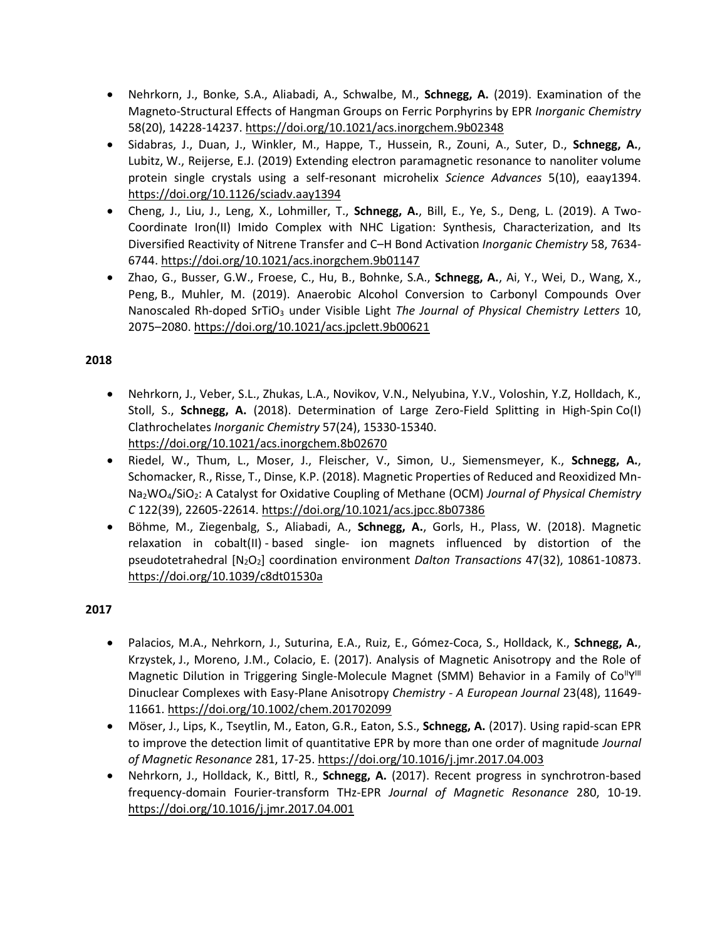- Nehrkorn, J., Bonke, S.A., Aliabadi, A., Schwalbe, M., **Schnegg, A.** (2019). Examination of the Magneto-Structural Effects of Hangman Groups on Ferric Porphyrins by EPR *Inorganic Chemistry*  58(20), 14228-14237. <https://doi.org/10.1021/acs.inorgchem.9b02348>
- Sidabras, J., Duan, J., Winkler, M., Happe, T., Hussein, R., Zouni, A., Suter, D., **Schnegg, A.**, Lubitz, W., Reijerse, E.J. (2019) Extending electron paramagnetic resonance to nanoliter volume protein single crystals using a self-resonant microhelix *Science Advances* 5(10), eaay1394. <https://doi.org/10.1126/sciadv.aay1394>
- Cheng, J., Liu, J., Leng, X., Lohmiller, T., **Schnegg, A.**, Bill, E., Ye, S., Deng, L. (2019). A Two-Coordinate Iron(II) Imido Complex with NHC Ligation: Synthesis, Characterization, and Its Diversified Reactivity of Nitrene Transfer and C–H Bond Activation *Inorganic Chemistry* 58, 7634- 6744[. https://doi.org/10.1021/acs.inorgchem.9b01147](https://doi.org/10.1021/acs.inorgchem.9b01147)
- Zhao, G., Busser, G.W., Froese, C., Hu, B., Bohnke, S.A., **Schnegg, A.**, Ai, Y., Wei, D., Wang, X., Peng, B., Muhler, M. (2019). Anaerobic Alcohol Conversion to Carbonyl Compounds Over Nanoscaled Rh-doped SrTiO<sub>3</sub> under Visible Light *The Journal of Physical Chemistry Letters* 10, 2075–2080.<https://doi.org/10.1021/acs.jpclett.9b00621>

- Nehrkorn, J., Veber, S.L., Zhukas, L.A., Novikov, V.N., Nelyubina, Y.V., Voloshin, Y.Z, Holldach, K., Stoll, S., **Schnegg, A.** (2018). Determination of Large Zero-Field Splitting in High-Spin Co(I) Clathrochelates *Inorganic Chemistry* 57(24), 15330-15340. <https://doi.org/10.1021/acs.inorgchem.8b02670>
- Riedel, W., Thum, L., Moser, J., Fleischer, V., Simon, U., Siemensmeyer, K., **Schnegg, A.**, Schomacker, R., Risse, T., Dinse, K.P. (2018). Magnetic Properties of Reduced and Reoxidized Mn-Na2WO4/SiO2: A Catalyst for Oxidative Coupling of Methane (OCM) *Journal of Physical Chemistry C* 122(39), 22605-22614[. https://doi.org/10.1021/acs.jpcc.8b07386](https://doi.org/10.1021/acs.jpcc.8b07386)
- Böhme, M., Ziegenbalg, S., Aliabadi, A., **Schnegg, A.**, Gorls, H., Plass, W. (2018). Magnetic relaxation in cobalt(II) - based single- ion magnets influenced by distortion of the pseudotetrahedral [N2O2] coordination environment *Dalton Transactions* 47(32), 10861-10873. <https://doi.org/10.1039/c8dt01530a>

- Palacios, M.A., Nehrkorn, J., Suturina, E.A., Ruiz, E., Gómez-Coca, S., Holldack, K., **Schnegg, A.**, Krzystek, J., Moreno, J.M., Colacio, E. (2017). Analysis of Magnetic Anisotropy and the Role of Magnetic Dilution in Triggering Single-Molecule Magnet (SMM) Behavior in a Family of Co<sup>ll</sup>Y<sup>III</sup> Dinuclear Complexes with Easy-Plane Anisotropy *Chemistry - A European Journal* 23(48), 11649- 11661.<https://doi.org/10.1002/chem.201702099>
- Möser, J., Lips, K., Tseytlin, M., Eaton, G.R., Eaton, S.S., **Schnegg, A.** (2017). Using rapid-scan EPR to improve the detection limit of quantitative EPR by more than one order of magnitude *Journal of Magnetic Resonance* 281, 17-25[. https://doi.org/10.1016/j.jmr.2017.04.003](https://doi.org/10.1016/j.jmr.2017.04.003)
- Nehrkorn, J., Holldack, K., Bittl, R., **Schnegg, A.** (2017). Recent progress in synchrotron-based frequency-domain Fourier-transform THz-EPR *Journal of Magnetic Resonance* 280, 10-19. <https://doi.org/10.1016/j.jmr.2017.04.001>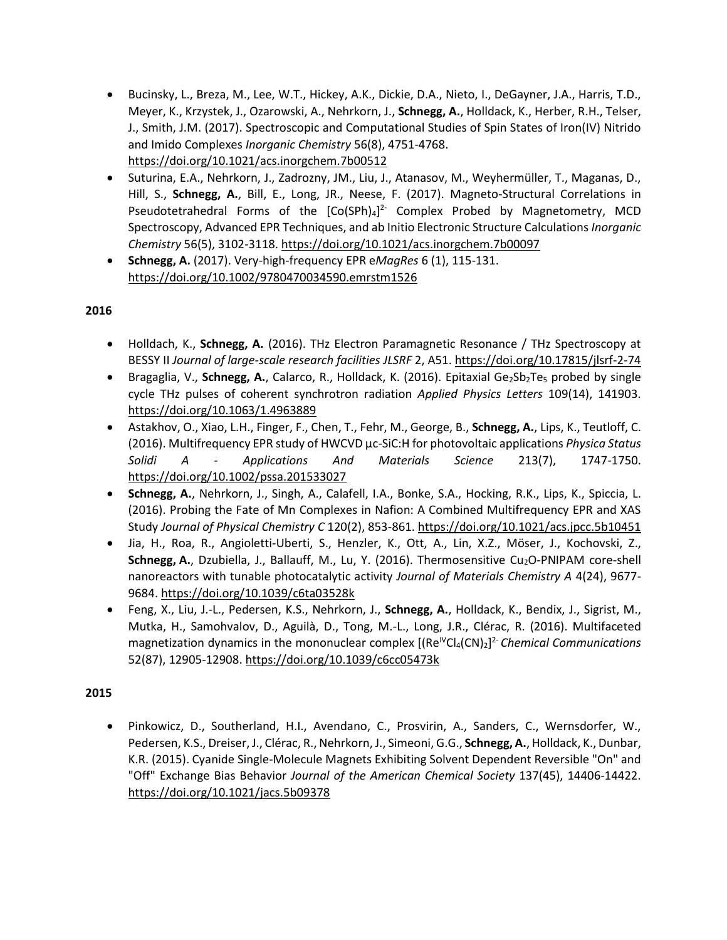- Bucinsky, L., Breza, M., Lee, W.T., Hickey, A.K., Dickie, D.A., Nieto, I., DeGayner, J.A., Harris, T.D., Meyer, K., Krzystek, J., Ozarowski, A., Nehrkorn, J., **Schnegg, A.**, Holldack, K., Herber, R.H., Telser, J., Smith, J.M. (2017). Spectroscopic and Computational Studies of Spin States of Iron(IV) Nitrido and Imido Complexes *Inorganic Chemistry* 56(8), 4751-4768. <https://doi.org/10.1021/acs.inorgchem.7b00512>
- Suturina, E.A., Nehrkorn, J., Zadrozny, JM., Liu, J., Atanasov, M., Weyhermüller, T., Maganas, D., Hill, S., **Schnegg, A.**, Bill, E., Long, JR., Neese, F. (2017). Magneto-Structural Correlations in Pseudotetrahedral Forms of the  $[Co(SPh)_4]^2$ <sup>-</sup> Complex Probed by Magnetometry, MCD Spectroscopy, Advanced EPR Techniques, and ab Initio Electronic Structure Calculations *Inorganic Chemistry* 56(5), 3102-3118.<https://doi.org/10.1021/acs.inorgchem.7b00097>
- **Schnegg, A.** (2017). Very-high-frequency EPR e*MagRes* 6 (1), 115-131. <https://doi.org/10.1002/9780470034590.emrstm1526>

- Holldach, K., **Schnegg, A.** (2016). THz Electron Paramagnetic Resonance / THz Spectroscopy at BESSY II *Journal of large-scale research facilities JLSRF* 2, A51.<https://doi.org/10.17815/jlsrf-2-74>
- Bragaglia, V., Schnegg, A., Calarco, R., Holldack, K. (2016). Epitaxial Ge<sub>2</sub>Sb<sub>2</sub>Te<sub>5</sub> probed by single cycle THz pulses of coherent synchrotron radiation *Applied Physics Letters* 109(14), 141903. <https://doi.org/10.1063/1.4963889>
- Astakhov, O., Xiao, L.H., Finger, F., Chen, T., Fehr, M., George, B., **Schnegg, A.**, Lips, K., Teutloff, C. (2016). Multifrequency EPR study of HWCVD μc-SiC:H for photovoltaic applications *Physica Status Solidi A - Applications And Materials Science* 213(7), 1747-1750. <https://doi.org/10.1002/pssa.201533027>
- **Schnegg, A.**, Nehrkorn, J., Singh, A., Calafell, I.A., Bonke, S.A., Hocking, R.K., Lips, K., Spiccia, L. (2016). Probing the Fate of Mn Complexes in Nafion: A Combined Multifrequency EPR and XAS Study *Journal of Physical Chemistry C* 120(2), 853-861.<https://doi.org/10.1021/acs.jpcc.5b10451>
- Jia, H., Roa, R., Angioletti-Uberti, S., Henzler, K., Ott, A., Lin, X.Z., Möser, J., Kochovski, Z., Schnegg, A., Dzubiella, J., Ballauff, M., Lu, Y. (2016). Thermosensitive Cu<sub>2</sub>O-PNIPAM core-shell nanoreactors with tunable photocatalytic activity *Journal of Materials Chemistry A* 4(24), 9677- 9684[. https://doi.org/10.1039/c6ta03528k](https://doi.org/10.1039/c6ta03528k)
- Feng, X., Liu, J.-L., Pedersen, K.S., Nehrkorn, J., **Schnegg, A.**, Holldack, K., Bendix, J., Sigrist, M., Mutka, H., Samohvalov, D., Aguilà, D., Tong, M.-L., Long, J.R., Clérac, R. (2016). Multifaceted magnetization dynamics in the mononuclear complex [(Re<sup>IV</sup>Cl<sub>4</sub>(CN)<sub>2</sub>]<sup>2</sup> *Chemical Communications* 52(87), 12905-12908[. https://doi.org/10.1039/c6cc05473k](https://doi.org/10.1039/c6cc05473k)

# **2015**

• Pinkowicz, D., Southerland, H.I., Avendano, C., Prosvirin, A., Sanders, C., Wernsdorfer, W., Pedersen, K.S., Dreiser, J., Clérac, R., Nehrkorn, J., Simeoni, G.G., **Schnegg, A.**, Holldack, K., Dunbar, K.R. (2015). Cyanide Single-Molecule Magnets Exhibiting Solvent Dependent Reversible "On" and "Off" Exchange Bias Behavior *Journal of the American Chemical Society* 137(45), 14406-14422. <https://doi.org/10.1021/jacs.5b09378>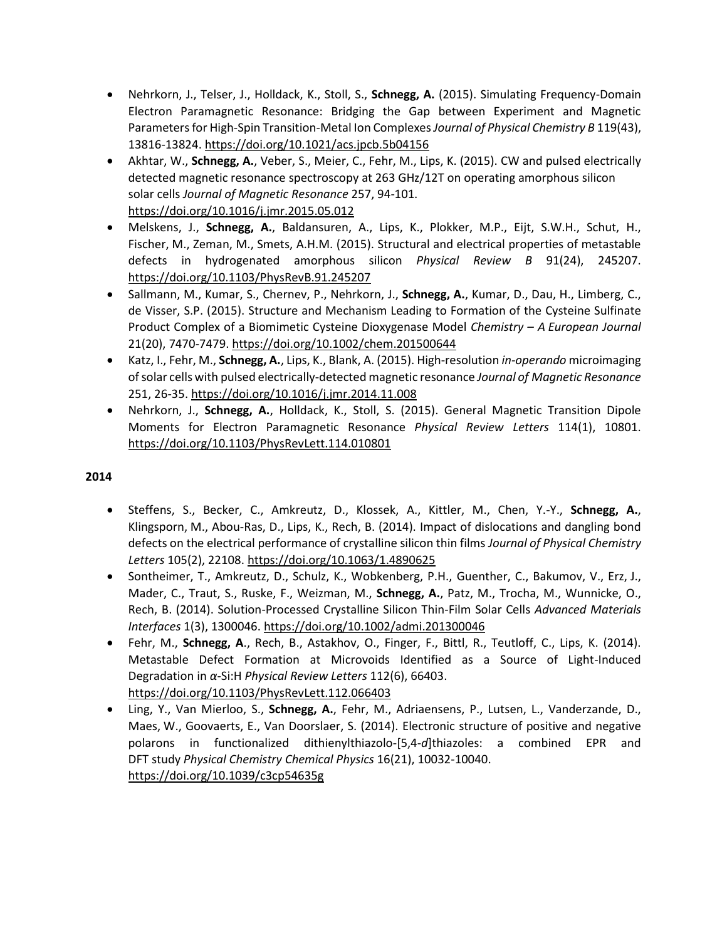- Nehrkorn, J., Telser, J., Holldack, K., Stoll, S., **Schnegg, A.** (2015). Simulating Frequency-Domain Electron Paramagnetic Resonance: Bridging the Gap between Experiment and Magnetic Parameters for High-Spin Transition-Metal Ion Complexes *Journal of Physical Chemistry B* 119(43), 13816-13824[. https://doi.org/10.1021/acs.jpcb.5b04156](https://doi.org/10.1021/acs.jpcb.5b04156)
- Akhtar, W., **Schnegg, A.**, Veber, S., Meier, C., Fehr, M., Lips, K. (2015). CW and pulsed electrically detected magnetic resonance spectroscopy at 263 GHz/12T on operating amorphous silicon solar cells *Journal of Magnetic Resonance* 257, 94-101. <https://doi.org/10.1016/j.jmr.2015.05.012>
- Melskens, J., **Schnegg, A.**, Baldansuren, A., Lips, K., Plokker, M.P., Eijt, S.W.H., Schut, H., Fischer, M., Zeman, M., Smets, A.H.M. (2015). Structural and electrical properties of metastable defects in hydrogenated amorphous silicon *Physical Review B* 91(24), 245207. <https://doi.org/10.1103/PhysRevB.91.245207>
- Sallmann, M., Kumar, S., Chernev, P., Nehrkorn, J., **Schnegg, A.**, Kumar, D., Dau, H., Limberg, C., de Visser, S.P. (2015). Structure and Mechanism Leading to Formation of the Cysteine Sulfinate Product Complex of a Biomimetic Cysteine Dioxygenase Model *Chemistry – A European Journal*  21(20), 7470-7479[. https://doi.org/10.1002/chem.201500644](https://doi.org/10.1002/chem.201500644)
- Katz, I., Fehr, M., **Schnegg, A.**, Lips, K., Blank, A. (2015). High-resolution *in-operando* microimaging of solar cells with pulsed electrically-detected magnetic resonance *Journal of Magnetic Resonance*  251, 26-35.<https://doi.org/10.1016/j.jmr.2014.11.008>
- Nehrkorn, J., **Schnegg, A.**, Holldack, K., Stoll, S. (2015). General Magnetic Transition Dipole Moments for Electron Paramagnetic Resonance *Physical Review Letters* 114(1), 10801. <https://doi.org/10.1103/PhysRevLett.114.010801>

- Steffens, S., Becker, C., Amkreutz, D., Klossek, A., Kittler, M., Chen, Y.-Y., **Schnegg, A.**, Klingsporn, M., Abou-Ras, D., Lips, K., Rech, B. (2014). Impact of dislocations and dangling bond defects on the electrical performance of crystalline silicon thin films *Journal of Physical Chemistry Letters* 105(2), 22108[. https://doi.org/10.1063/1.4890625](https://doi.org/10.1063/1.4890625)
- Sontheimer, T., Amkreutz, D., Schulz, K., Wobkenberg, P.H., Guenther, C., Bakumov, V., Erz, J., Mader, C., Traut, S., Ruske, F., Weizman, M., **Schnegg, A.**, Patz, M., Trocha, M., Wunnicke, O., Rech, B. (2014). Solution-Processed Crystalline Silicon Thin-Film Solar Cells *Advanced Materials Interfaces* 1(3), 1300046.<https://doi.org/10.1002/admi.201300046>
- Fehr, M., **Schnegg, A**., Rech, B., Astakhov, O., Finger, F., Bittl, R., Teutloff, C., Lips, K. (2014). Metastable Defect Formation at Microvoids Identified as a Source of Light-Induced Degradation in *α*-Si:H *Physical Review Letters* 112(6), 66403. <https://doi.org/10.1103/PhysRevLett.112.066403>
- Ling, Y., Van Mierloo, S., **Schnegg, A.**, Fehr, M., Adriaensens, P., Lutsen, L., Vanderzande, D., Maes, W., Goovaerts, E., Van Doorslaer, S. (2014). Electronic structure of positive and negative polarons in functionalized dithienylthiazolo-[5,4-*d*]thiazoles: a combined EPR and DFT study *Physical Chemistry Chemical Physics* 16(21), 10032-10040. <https://doi.org/10.1039/c3cp54635g>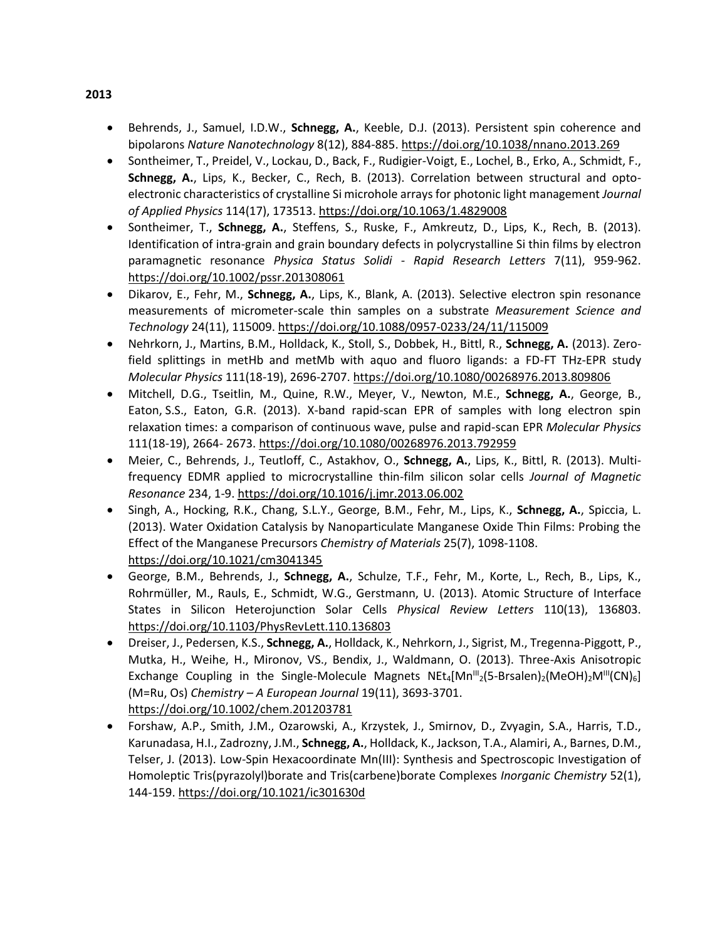- Behrends, J., Samuel, I.D.W., **Schnegg, A.**, Keeble, D.J. (2013). Persistent spin coherence and bipolarons *Nature Nanotechnology* 8(12), 884-885.<https://doi.org/10.1038/nnano.2013.269>
- Sontheimer, T., Preidel, V., Lockau, D., Back, F., Rudigier-Voigt, E., Lochel, B., Erko, A., Schmidt, F., **Schnegg, A.**, Lips, K., Becker, C., Rech, B. (2013). Correlation between structural and optoelectronic characteristics of crystalline Si microhole arrays for photonic light management *Journal of Applied Physics* 114(17), 173513[. https://doi.org/10.1063/1.4829008](https://doi.org/10.1063/1.4829008)
- Sontheimer, T., **Schnegg, A.**, Steffens, S., Ruske, F., Amkreutz, D., Lips, K., Rech, B. (2013). Identification of intra-grain and grain boundary defects in polycrystalline Si thin films by electron paramagnetic resonance *Physica Status Solidi - Rapid Research Letters* 7(11), 959-962. <https://doi.org/10.1002/pssr.201308061>
- Dikarov, E., Fehr, M., **Schnegg, A.**, Lips, K., Blank, A. (2013). Selective electron spin resonance measurements of micrometer-scale thin samples on a substrate *Measurement Science and Technology* 24(11), 115009.<https://doi.org/10.1088/0957-0233/24/11/115009>
- Nehrkorn, J., Martins, B.M., Holldack, K., Stoll, S., Dobbek, H., Bittl, R., **Schnegg, A.** (2013). Zerofield splittings in metHb and metMb with aquo and fluoro ligands: a FD-FT THz-EPR study *Molecular Physics* 111(18-19), 2696-2707[. https://doi.org/10.1080/00268976.2013.809806](https://doi.org/10.1080/00268976.2013.809806)
- Mitchell, D.G., Tseitlin, M., Quine, R.W., Meyer, V., Newton, M.E., **Schnegg, A.**, George, B., Eaton, S.S., Eaton, G.R. (2013). X-band rapid-scan EPR of samples with long electron spin relaxation times: a comparison of continuous wave, pulse and rapid-scan EPR *Molecular Physics*  111(18-19), 2664- 2673.<https://doi.org/10.1080/00268976.2013.792959>
- Meier, C., Behrends, J., Teutloff, C., Astakhov, O., **Schnegg, A.**, Lips, K., Bittl, R. (2013). Multifrequency EDMR applied to microcrystalline thin-film silicon solar cells *Journal of Magnetic Resonance* 234, 1-9.<https://doi.org/10.1016/j.jmr.2013.06.002>
- Singh, A., Hocking, R.K., Chang, S.L.Y., George, B.M., Fehr, M., Lips, K., **Schnegg, A.**, Spiccia, L. (2013). Water Oxidation Catalysis by Nanoparticulate Manganese Oxide Thin Films: Probing the Effect of the Manganese Precursors *Chemistry of Materials* 25(7), 1098-1108. <https://doi.org/10.1021/cm3041345>
- George, B.M., Behrends, J., **Schnegg, A.**, Schulze, T.F., Fehr, M., Korte, L., Rech, B., Lips, K., Rohrmüller, M., Rauls, E., Schmidt, W.G., Gerstmann, U. (2013). Atomic Structure of Interface States in Silicon Heterojunction Solar Cells *Physical Review Letters* 110(13), 136803. <https://doi.org/10.1103/PhysRevLett.110.136803>
- Dreiser, J., Pedersen, K.S., **Schnegg, A.**, Holldack, K., Nehrkorn, J., Sigrist, M., Tregenna-Piggott, P., Mutka, H., Weihe, H., Mironov, VS., Bendix, J., Waldmann, O. (2013). Three-Axis Anisotropic Exchange Coupling in the Single-Molecule Magnets  $Net_4[Mn^{III}/(5-Brsalen)_2(MeOH)_2M^{III}(CN)_6]$ (M=Ru, Os) *Chemistry – A European Journal* 19(11), 3693-3701. <https://doi.org/10.1002/chem.201203781>
- Forshaw, A.P., Smith, J.M., Ozarowski, A., Krzystek, J., Smirnov, D., Zvyagin, S.A., Harris, T.D., Karunadasa, H.I., Zadrozny, J.M., **Schnegg, A.**, Holldack, K., Jackson, T.A., Alamiri, A., Barnes, D.M., Telser, J. (2013). Low-Spin Hexacoordinate Mn(III): Synthesis and Spectroscopic Investigation of Homoleptic Tris(pyrazolyl)borate and Tris(carbene)borate Complexes *Inorganic Chemistry* 52(1), 144-159.<https://doi.org/10.1021/ic301630d>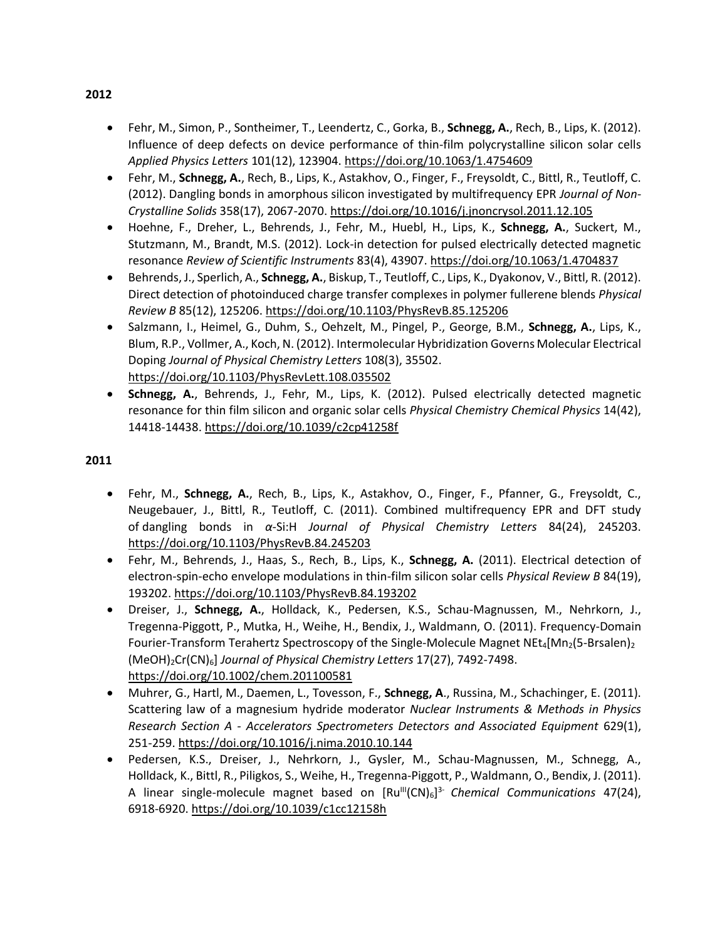- Fehr, M., Simon, P., Sontheimer, T., Leendertz, C., Gorka, B., **Schnegg, A.**, Rech, B., Lips, K. (2012). Influence of deep defects on device performance of thin-film polycrystalline silicon solar cells *Applied Physics Letters* 101(12), 123904.<https://doi.org/10.1063/1.4754609>
- Fehr, M., **Schnegg, A.**, Rech, B., Lips, K., Astakhov, O., Finger, F., Freysoldt, C., Bittl, R., Teutloff, C. (2012). Dangling bonds in amorphous silicon investigated by multifrequency EPR *Journal of Non-Crystalline Solids* 358(17), 2067-2070.<https://doi.org/10.1016/j.jnoncrysol.2011.12.105>
- Hoehne, F., Dreher, L., Behrends, J., Fehr, M., Huebl, H., Lips, K., **Schnegg, A.**, Suckert, M., Stutzmann, M., Brandt, M.S. (2012). Lock-in detection for pulsed electrically detected magnetic resonance *Review of Scientific Instruments* 83(4), 43907[. https://doi.org/10.1063/1.4704837](https://doi.org/10.1063/1.4704837)
- Behrends, J., Sperlich, A., **Schnegg, A.**, Biskup, T., Teutloff, C., Lips, K., Dyakonov, V., Bittl, R. (2012). Direct detection of photoinduced charge transfer complexes in polymer fullerene blends *Physical Review B* 85(12), 125206[. https://doi.org/10.1103/PhysRevB.85.125206](https://doi.org/10.1103/PhysRevB.85.125206)
- Salzmann, I., Heimel, G., Duhm, S., Oehzelt, M., Pingel, P., George, B.M., **Schnegg, A.**, Lips, K., Blum, R.P., Vollmer, A., Koch, N. (2012). Intermolecular Hybridization Governs Molecular Electrical Doping *Journal of Physical Chemistry Letters* 108(3), 35502. <https://doi.org/10.1103/PhysRevLett.108.035502>
- **Schnegg, A.**, Behrends, J., Fehr, M., Lips, K. (2012). Pulsed electrically detected magnetic resonance for thin film silicon and organic solar cells *Physical Chemistry Chemical Physics* 14(42), 14418-14438[. https://doi.org/10.1039/c2cp41258f](https://doi.org/10.1039/c2cp41258f)

- Fehr, M., **Schnegg, A.**, Rech, B., Lips, K., Astakhov, O., Finger, F., Pfanner, G., Freysoldt, C., Neugebauer, J., Bittl, R., Teutloff, C. (2011). Combined multifrequency EPR and DFT study of dangling bonds in *α*-Si:H *Journal of Physical Chemistry Letters* 84(24), 245203. <https://doi.org/10.1103/PhysRevB.84.245203>
- Fehr, M., Behrends, J., Haas, S., Rech, B., Lips, K., **Schnegg, A.** (2011). Electrical detection of electron-spin-echo envelope modulations in thin-film silicon solar cells *Physical Review B* 84(19), 193202[. https://doi.org/10.1103/PhysRevB.84.193202](https://doi.org/10.1103/PhysRevB.84.193202)
- Dreiser, J., **Schnegg, A.**, Holldack, K., Pedersen, K.S., Schau-Magnussen, M., Nehrkorn, J., Tregenna-Piggott, P., Mutka, H., Weihe, H., Bendix, J., Waldmann, O. (2011). Frequency-Domain Fourier-Transform Terahertz Spectroscopy of the Single-Molecule Magnet NEt<sub>4</sub>[Mn<sub>2</sub>(5-Brsalen)<sub>2</sub> (MeOH)2Cr(CN)6] *Journal of Physical Chemistry Letters* 17(27), 7492-7498. <https://doi.org/10.1002/chem.201100581>
- Muhrer, G., Hartl, M., Daemen, L., Tovesson, F., **Schnegg, A**., Russina, M., Schachinger, E. (2011). Scattering law of a magnesium hydride moderator *Nuclear Instruments & Methods in Physics Research Section A - Accelerators Spectrometers Detectors and Associated Equipment* 629(1), 251-259.<https://doi.org/10.1016/j.nima.2010.10.144>
- Pedersen, K.S., Dreiser, J., Nehrkorn, J., Gysler, M., Schau-Magnussen, M., Schnegg, A., Holldack, K., Bittl, R., Piligkos, S., Weihe, H., Tregenna-Piggott, P., Waldmann, O., Bendix, J. (2011). A linear single-molecule magnet based on [Ru<sup>ll</sup>(CN)<sub>6</sub>]<sup>3</sup> *Chemical Communications* 47(24), 6918-6920.<https://doi.org/10.1039/c1cc12158h>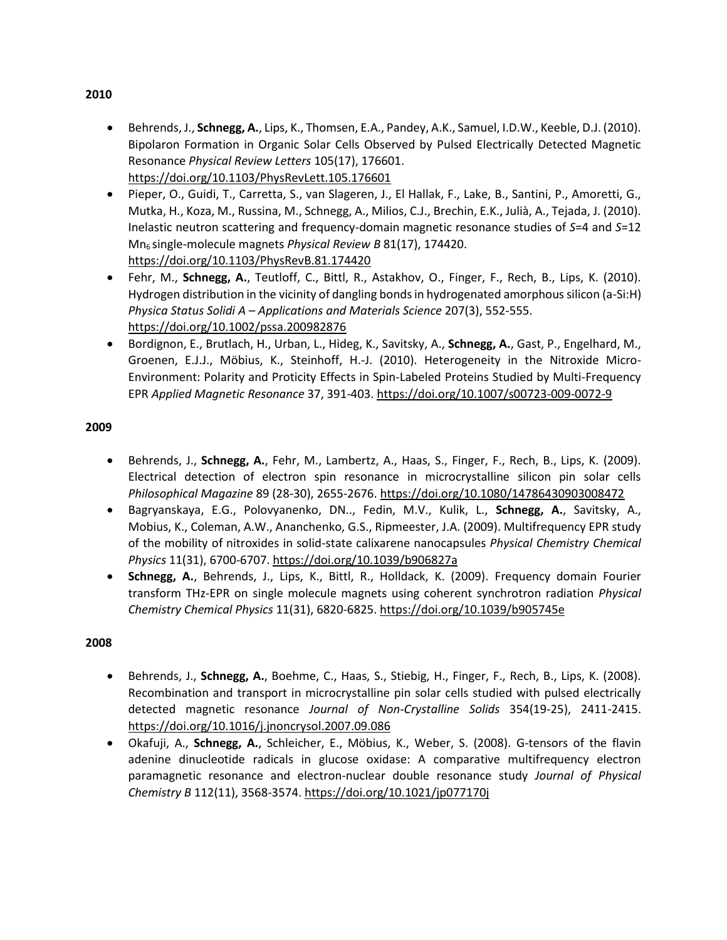- Behrends, J., **Schnegg, A.**, Lips, K., Thomsen, E.A., Pandey, A.K., Samuel, I.D.W., Keeble, D.J. (2010). Bipolaron Formation in Organic Solar Cells Observed by Pulsed Electrically Detected Magnetic Resonance *Physical Review Letters* 105(17), 176601. <https://doi.org/10.1103/PhysRevLett.105.176601>
- Pieper, O., Guidi, T., Carretta, S., van Slageren, J., El Hallak, F., Lake, B., Santini, P., Amoretti, G., Mutka, H., Koza, M., Russina, M., Schnegg, A., Milios, C.J., Brechin, E.K., Julià, A., Tejada, J. (2010). Inelastic neutron scattering and frequency-domain magnetic resonance studies of *S*=4 and *S*=12 Mn<sup>6</sup> single-molecule magnets *Physical Review B* 81(17), 174420. <https://doi.org/10.1103/PhysRevB.81.174420>
- Fehr, M., **Schnegg, A.**, Teutloff, C., Bittl, R., Astakhov, O., Finger, F., Rech, B., Lips, K. (2010). Hydrogen distribution in the vicinity of dangling bonds in hydrogenated amorphous silicon (a-Si:H) *Physica Status Solidi A – Applications and Materials Science* 207(3), 552-555. <https://doi.org/10.1002/pssa.200982876>
- Bordignon, E., Brutlach, H., Urban, L., Hideg, K., Savitsky, A., **Schnegg, A.**, Gast, P., Engelhard, M., Groenen, E.J.J., Möbius, K., Steinhoff, H.-J. (2010). Heterogeneity in the Nitroxide Micro-Environment: Polarity and Proticity Effects in Spin-Labeled Proteins Studied by Multi-Frequency EPR *Applied Magnetic Resonance* 37, 391-403[. https://doi.org/10.1007/s00723-009-0072-9](https://doi.org/10.1007/s00723-009-0072-9)

- Behrends, J., **Schnegg, A.**, Fehr, M., Lambertz, A., Haas, S., Finger, F., Rech, B., Lips, K. (2009). Electrical detection of electron spin resonance in microcrystalline silicon pin solar cells *Philosophical Magazine* 89 (28-30), 2655-2676.<https://doi.org/10.1080/14786430903008472>
- Bagryanskaya, E.G., Polovyanenko, DN.., Fedin, M.V., Kulik, L., **Schnegg, A.**, Savitsky, A., Mobius, K., Coleman, A.W., Ananchenko, G.S., Ripmeester, J.A. (2009). Multifrequency EPR study of the mobility of nitroxides in solid-state calixarene nanocapsules *Physical Chemistry Chemical Physics* 11(31), 6700-6707.<https://doi.org/10.1039/b906827a>
- **Schnegg, A.**, Behrends, J., Lips, K., Bittl, R., Holldack, K. (2009). Frequency domain Fourier transform THz-EPR on single molecule magnets using coherent synchrotron radiation *Physical Chemistry Chemical Physics* 11(31), 6820-6825.<https://doi.org/10.1039/b905745e>

### **2008**

- Behrends, J., **Schnegg, A.**, Boehme, C., Haas, S., Stiebig, H., Finger, F., Rech, B., Lips, K. (2008). Recombination and transport in microcrystalline pin solar cells studied with pulsed electrically detected magnetic resonance *Journal of Non-Crystalline Solids* 354(19-25), 2411-2415. <https://doi.org/10.1016/j.jnoncrysol.2007.09.086>
- Okafuji, A., **Schnegg, A.**, Schleicher, E., Möbius, K., Weber, S. (2008). G-tensors of the flavin adenine dinucleotide radicals in glucose oxidase: A comparative multifrequency electron paramagnetic resonance and electron-nuclear double resonance study *Journal of Physical Chemistry B* 112(11), 3568-3574[. https://doi.org/10.1021/jp077170j](https://doi.org/10.1021/jp077170j)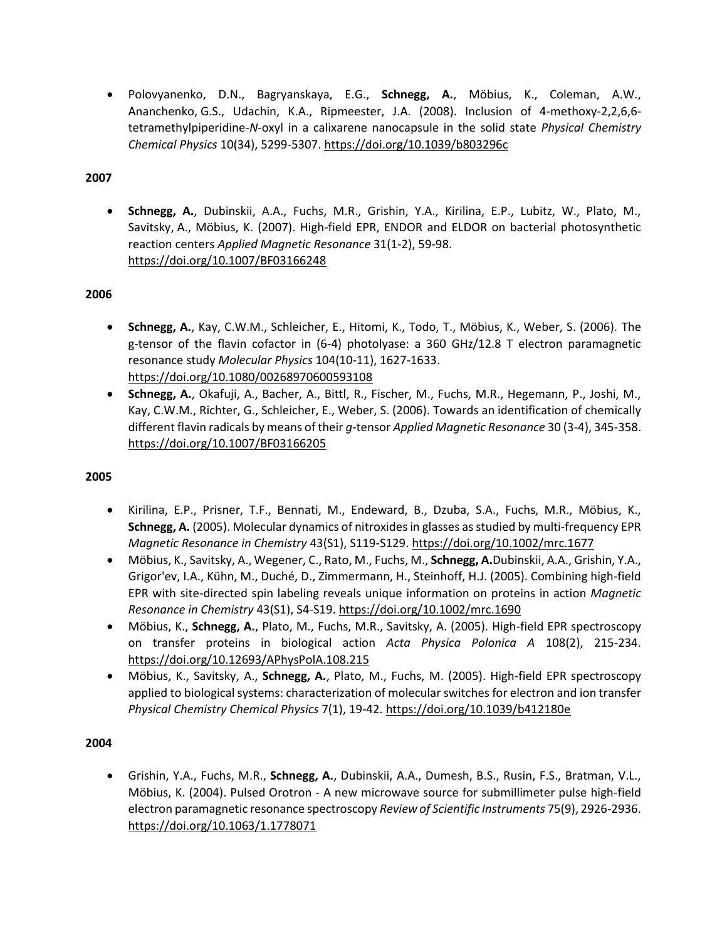• Polovyanenko, D.N., Bagryanskaya, E.G., **Schnegg, A.**, Möbius, K., Coleman, A.W., Ananchenko, G.S., Udachin, K.A., Ripmeester, J.A. (2008). Inclusion of 4-methoxy-2,2,6,6 tetramethylpiperidine-*N*-oxyl in a calixarene nanocapsule in the solid state *Physical Chemistry Chemical Physics* 10(34), 5299-5307.<https://doi.org/10.1039/b803296c>

### **2007**

• **Schnegg, A.**, Dubinskii, A.A., Fuchs, M.R., Grishin, Y.A., Kirilina, E.P., Lubitz, W., Plato, M., Savitsky, A., Möbius, K. (2007). High-field EPR, ENDOR and ELDOR on bacterial photosynthetic reaction centers *Applied Magnetic Resonance* 31(1-2), 59-98. <https://doi.org/10.1007/BF03166248>

## **2006**

- **Schnegg, A.**, Kay, C.W.M., Schleicher, E., Hitomi, K., Todo, T., Möbius, K., Weber, S. (2006). The g-tensor of the flavin cofactor in (6-4) photolyase: a 360 GHz/12.8 T electron paramagnetic resonance study *Molecular Physics* 104(10-11), 1627-1633. <https://doi.org/10.1080/00268970600593108>
- **Schnegg, A.**, Okafuji, A., Bacher, A., Bittl, R., Fischer, M., Fuchs, M.R., Hegemann, P., Joshi, M., Kay, C.W.M., Richter, G., Schleicher, E., Weber, S. (2006). Towards an identification of chemically different flavin radicals by means of their *g*-tensor *Applied Magnetic Resonance* 30 (3-4), 345-358. <https://doi.org/10.1007/BF03166205>

### **2005**

- Kirilina, E.P., Prisner, T.F., Bennati, M., Endeward, B., Dzuba, S.A., Fuchs, M.R., Möbius, K., **Schnegg, A.** (2005). Molecular dynamics of nitroxides in glasses as studied by multi-frequency EPR *Magnetic Resonance in Chemistry* 43(S1), S119-S129.<https://doi.org/10.1002/mrc.1677>
- Möbius, K., Savitsky, A., Wegener, C., Rato, M., Fuchs, M., **Schnegg, A.**Dubinskii, A.A., Grishin, Y.A., Grigor'ev, I.A., Kühn, M., Duché, D., Zimmermann, H., Steinhoff, H.J. (2005). Combining high-field EPR with site-directed spin labeling reveals unique information on proteins in action *Magnetic Resonance in Chemistry* 43(S1), S4-S19[. https://doi.org/10.1002/mrc.1690](https://doi.org/10.1002/mrc.1690)
- Möbius, K., **Schnegg, A.**, Plato, M., Fuchs, M.R., Savitsky, A. (2005). High-field EPR spectroscopy on transfer proteins in biological action *Acta Physica Polonica A* 108(2), 215-234. <https://doi.org/10.12693/APhysPolA.108.215>
- Möbius, K., Savitsky, A., **Schnegg, A.**, Plato, M., Fuchs, M. (2005). High-field EPR spectroscopy applied to biological systems: characterization of molecular switches for electron and ion transfer *Physical Chemistry Chemical Physics* 7(1), 19-42.<https://doi.org/10.1039/b412180e>

### **2004**

• Grishin, Y.A., Fuchs, M.R., **Schnegg, A.**, Dubinskii, A.A., Dumesh, B.S., Rusin, F.S., Bratman, V.L., Möbius, K. (2004). Pulsed Orotron - A new microwave source for submillimeter pulse high-field electron paramagnetic resonance spectroscopy *Review of Scientific Instruments* 75(9), 2926-2936. <https://doi.org/10.1063/1.1778071>